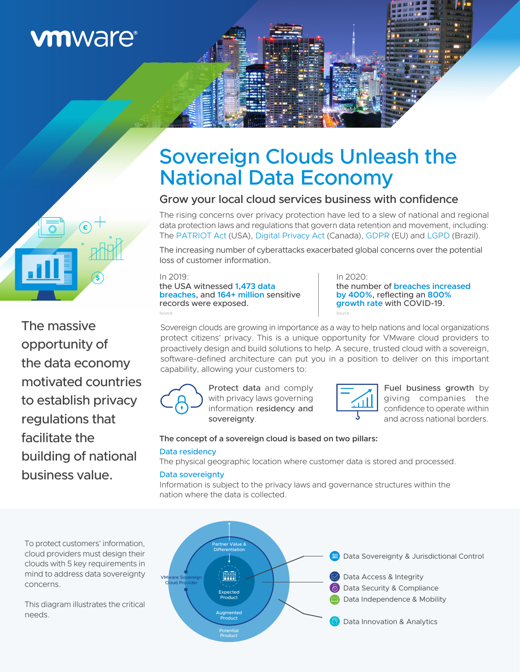# **vmware®**



The massive opportunity of the data economy motivated countries to establish privacy regulations that facilitate the building of national business value.

# Sovereign Clouds Unleash the National Data Economy

## Grow your local cloud services business with confidence

The rising concerns over privacy protection have led to a slew of national and regional data protection laws and regulations that govern data retention and movement, including: Th[e PATRIOT Act \(](https://www.justice.gov/archive/ll/highlights.htm)USA), [Digital Privacy Act](https://laws-lois.justice.gc.ca/eng/annualstatutes/2015_32/page-1.html) (Canada)[, GDPR \(](https://gdpr.eu/)EU) an[d LGPD \(B](https://gdpr.eu/gdpr-vs-lgpd/)razil).

The increasing number of cyberattacks exacerbated global concerns over the potential loss of customer information.

#### In 2019: the USA witnessed **1,473 data breaches**, and **164+ million** sensitive records were exposed. [Source](https://www.statista.com/statistics/273550/data-breaches-recorded-in-the-united-states-by-number-of-breaches-and-records-exposed/)

In 2020: the number of **breaches increased by 400%**, reflecting an **800% growth rate** with COVID-19. [Source](https://www.ic3.gov/)

Sovereign clouds are growing in importance as a way to help nations and local organizations protect citizens' privacy. This is a unique opportunity for VMware cloud providers to proactively design and build solutions to help. A secure, trusted cloud with a sovereign, software-defined architecture can put you in a position to deliver on this important capability, allowing your customers to:



Protect data and comply with privacy laws governing information residency and sovereignty.



Fuel business growth by giving companies the confidence to operate within and across national borders.

### **The concept of a sovereign cloud is based on two pillars:** Data residency

The physical geographic location where customer data is stored and processed.

### Data sovereignty

Information is subject to the privacy laws and governance structures within the nation where the data is collected.



To protect customers' information, cloud providers must design their clouds with 5 key requirements in mind to address data sovereignty concerns.

This diagram illustrates the critical needs.